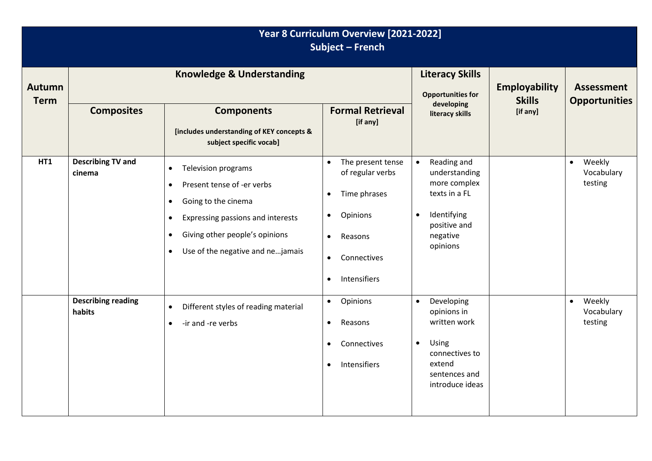| Year 8 Curriculum Overview [2021-2022]<br><b>Subject - French</b> |                                      |                                                                                                                                                                                                                                                                          |                                                                                                                                                                                           |                                                                                                                                                |                                       |                                              |
|-------------------------------------------------------------------|--------------------------------------|--------------------------------------------------------------------------------------------------------------------------------------------------------------------------------------------------------------------------------------------------------------------------|-------------------------------------------------------------------------------------------------------------------------------------------------------------------------------------------|------------------------------------------------------------------------------------------------------------------------------------------------|---------------------------------------|----------------------------------------------|
| <b>Autumn</b><br><b>Term</b>                                      | <b>Knowledge &amp; Understanding</b> |                                                                                                                                                                                                                                                                          |                                                                                                                                                                                           | <b>Literacy Skills</b><br><b>Opportunities for</b>                                                                                             | <b>Employability</b><br><b>Skills</b> | <b>Assessment</b><br><b>Opportunities</b>    |
|                                                                   | <b>Composites</b>                    | <b>Components</b><br>[includes understanding of KEY concepts &<br>subject specific vocab]                                                                                                                                                                                | <b>Formal Retrieval</b><br>[if any]                                                                                                                                                       | developing<br>literacy skills                                                                                                                  | [if any]                              |                                              |
| <b>HT1</b>                                                        | <b>Describing TV and</b><br>cinema   | <b>Television programs</b><br>$\bullet$<br>Present tense of -er verbs<br>$\bullet$<br>Going to the cinema<br>$\bullet$<br>Expressing passions and interests<br>$\bullet$<br>Giving other people's opinions<br>$\bullet$<br>Use of the negative and nejamais<br>$\bullet$ | The present tense<br>$\bullet$<br>of regular verbs<br>Time phrases<br>$\bullet$<br>Opinions<br>$\bullet$<br>Reasons<br>$\bullet$<br>Connectives<br>$\bullet$<br>Intensifiers<br>$\bullet$ | Reading and<br>$\bullet$<br>understanding<br>more complex<br>texts in a FL<br>Identifying<br>$\bullet$<br>positive and<br>negative<br>opinions |                                       | Weekly<br>$\bullet$<br>Vocabulary<br>testing |
|                                                                   | <b>Describing reading</b><br>habits  | Different styles of reading material<br>$\bullet$<br>-ir and -re verbs<br>$\bullet$                                                                                                                                                                                      | Opinions<br>$\bullet$<br>Reasons<br>$\bullet$<br>Connectives<br>$\bullet$<br>Intensifiers<br>$\bullet$                                                                                    | Developing<br>$\bullet$<br>opinions in<br>written work<br>Using<br>$\bullet$<br>connectives to<br>extend<br>sentences and<br>introduce ideas   |                                       | Weekly<br>$\bullet$<br>Vocabulary<br>testing |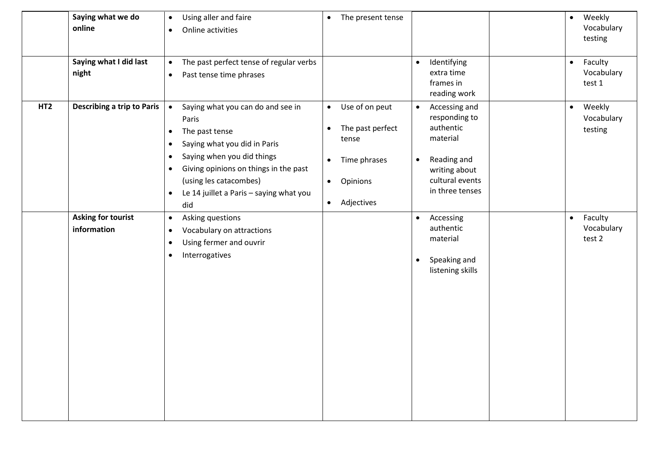|                 | Saying what we do<br>online              | Using aller and faire<br>$\bullet$<br>Online activities<br>٠                                                                                                                                                                                                                                          | The present tense<br>$\bullet$                                                                                                                         |                                                                                                                                                         | Weekly<br>$\bullet$<br>Vocabulary<br>testing |
|-----------------|------------------------------------------|-------------------------------------------------------------------------------------------------------------------------------------------------------------------------------------------------------------------------------------------------------------------------------------------------------|--------------------------------------------------------------------------------------------------------------------------------------------------------|---------------------------------------------------------------------------------------------------------------------------------------------------------|----------------------------------------------|
|                 | Saying what I did last<br>night          | The past perfect tense of regular verbs<br>$\bullet$<br>Past tense time phrases<br>$\bullet$                                                                                                                                                                                                          |                                                                                                                                                        | Identifying<br>$\bullet$<br>extra time<br>frames in<br>reading work                                                                                     | Faculty<br>$\bullet$<br>Vocabulary<br>test 1 |
| HT <sub>2</sub> | <b>Describing a trip to Paris</b>        | Saying what you can do and see in<br>$\bullet$<br>Paris<br>The past tense<br>٠<br>Saying what you did in Paris<br>$\bullet$<br>Saying when you did things<br>٠<br>Giving opinions on things in the past<br>٠<br>(using les catacombes)<br>Le 14 juillet a Paris - saying what you<br>$\bullet$<br>did | Use of on peut<br>$\bullet$<br>The past perfect<br>$\bullet$<br>tense<br>Time phrases<br>$\bullet$<br>Opinions<br>$\bullet$<br>Adjectives<br>$\bullet$ | Accessing and<br>$\bullet$<br>responding to<br>authentic<br>material<br>Reading and<br>$\bullet$<br>writing about<br>cultural events<br>in three tenses | Weekly<br>$\bullet$<br>Vocabulary<br>testing |
|                 | <b>Asking for tourist</b><br>information | Asking questions<br>٠<br>Vocabulary on attractions<br>٠<br>Using fermer and ouvrir<br>٠<br>Interrogatives<br>٠                                                                                                                                                                                        |                                                                                                                                                        | Accessing<br>$\bullet$<br>authentic<br>material<br>Speaking and<br>$\bullet$<br>listening skills                                                        | Faculty<br>$\bullet$<br>Vocabulary<br>test 2 |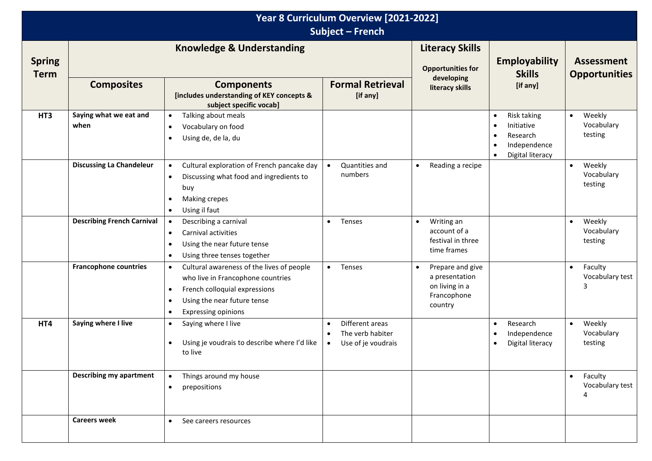| Year 8 Curriculum Overview [2021-2022]<br><b>Subject - French</b> |                                      |                                                                                                                                                                                                          |                                                                        |                                                                                             |                                                                                                                               |                                              |
|-------------------------------------------------------------------|--------------------------------------|----------------------------------------------------------------------------------------------------------------------------------------------------------------------------------------------------------|------------------------------------------------------------------------|---------------------------------------------------------------------------------------------|-------------------------------------------------------------------------------------------------------------------------------|----------------------------------------------|
| <b>Spring</b><br><b>Term</b>                                      | <b>Knowledge &amp; Understanding</b> |                                                                                                                                                                                                          |                                                                        | <b>Literacy Skills</b><br><b>Opportunities for</b>                                          | <b>Employability</b><br><b>Skills</b>                                                                                         | <b>Assessment</b><br><b>Opportunities</b>    |
|                                                                   | <b>Composites</b>                    | <b>Components</b><br>[includes understanding of KEY concepts &<br>subject specific vocab]                                                                                                                | <b>Formal Retrieval</b><br>[if any]                                    | developing<br>literacy skills                                                               | [if any]                                                                                                                      |                                              |
| HT3                                                               | Saying what we eat and<br>when       | Talking about meals<br>$\bullet$<br>Vocabulary on food<br>Using de, de la, du                                                                                                                            |                                                                        |                                                                                             | Risk taking<br>$\bullet$<br>Initiative<br>$\bullet$<br>Research<br>$\bullet$<br>Independence<br>$\bullet$<br>Digital literacy | Weekly<br>$\bullet$<br>Vocabulary<br>testing |
|                                                                   | <b>Discussing La Chandeleur</b>      | Cultural exploration of French pancake day<br>$\bullet$<br>Discussing what food and ingredients to<br>$\bullet$<br>buy<br>Making crepes<br>٠<br>Using il faut<br>٠                                       | Quantities and<br>$\bullet$<br>numbers                                 | Reading a recipe<br>$\bullet$                                                               |                                                                                                                               | Weekly<br>$\bullet$<br>Vocabulary<br>testing |
|                                                                   | <b>Describing French Carnival</b>    | Describing a carnival<br>$\bullet$<br>Carnival activities<br>$\bullet$<br>Using the near future tense<br>$\bullet$<br>Using three tenses together<br>$\bullet$                                           | Tenses<br>$\bullet$                                                    | Writing an<br>$\bullet$<br>account of a<br>festival in three<br>time frames                 |                                                                                                                               | Weekly<br>$\bullet$<br>Vocabulary<br>testing |
|                                                                   | <b>Francophone countries</b>         | Cultural awareness of the lives of people<br>$\bullet$<br>who live in Francophone countries<br>French colloquial expressions<br>٠<br>Using the near future tense<br>٠<br><b>Expressing opinions</b><br>٠ | Tenses<br>$\bullet$                                                    | Prepare and give<br>$\bullet$<br>a presentation<br>on living in a<br>Francophone<br>country |                                                                                                                               | Faculty<br>$\bullet$<br>Vocabulary test<br>3 |
| HT4                                                               | Saying where I live                  | Saying where I live<br>$\bullet$<br>Using je voudrais to describe where I'd like<br>to live                                                                                                              | Different areas<br>$\bullet$<br>The verb habiter<br>Use of je voudrais |                                                                                             | Research<br>$\bullet$<br>Independence<br>$\bullet$<br>Digital literacy<br>$\bullet$                                           | Weekly<br>$\bullet$<br>Vocabulary<br>testing |
|                                                                   | <b>Describing my apartment</b>       | Things around my house<br>$\bullet$<br>prepositions<br>$\bullet$                                                                                                                                         |                                                                        |                                                                                             |                                                                                                                               | $\bullet$<br>Faculty<br>Vocabulary test<br>4 |
|                                                                   | <b>Careers week</b>                  | $\bullet$<br>See careers resources                                                                                                                                                                       |                                                                        |                                                                                             |                                                                                                                               |                                              |